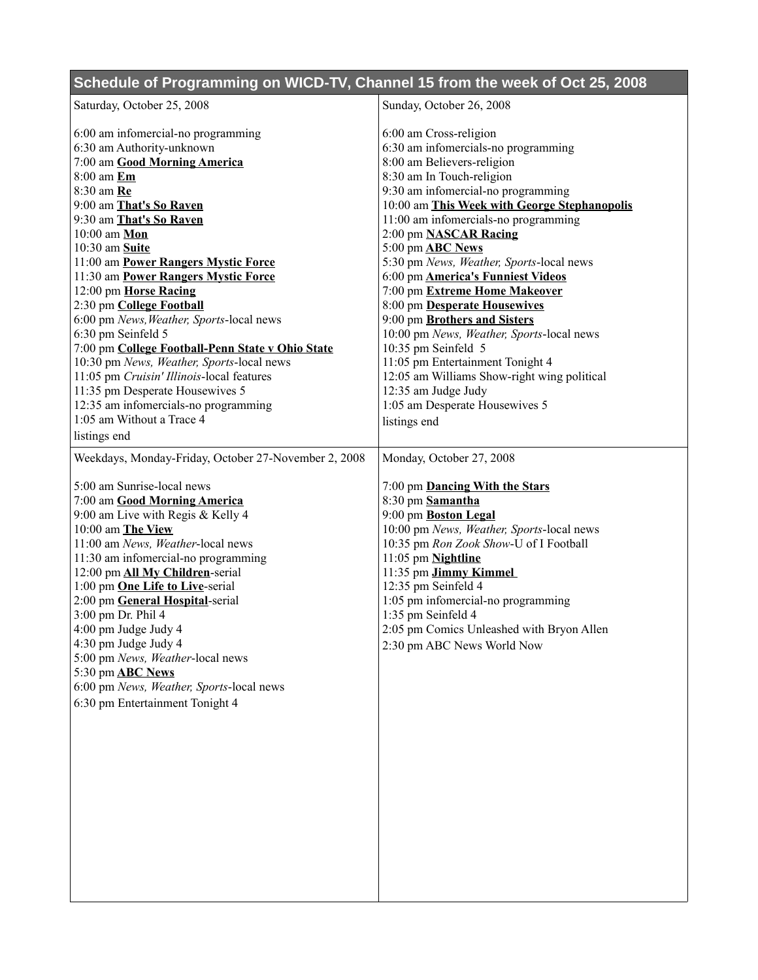## **Schedule of Programming on WICD-TV, Channel 15 from the week of Oct 25, 2008**

| Saturday, October 25, 2008                                          | Sunday, October 26, 2008                                      |
|---------------------------------------------------------------------|---------------------------------------------------------------|
|                                                                     |                                                               |
| 6:00 am infomercial-no programming<br>6:30 am Authority-unknown     | 6:00 am Cross-religion<br>6:30 am infomercials-no programming |
| 7:00 am Good Morning America                                        | 8:00 am Believers-religion                                    |
| 8:00 am Em                                                          | 8:30 am In Touch-religion                                     |
| 8:30 am Re                                                          | 9:30 am infomercial-no programming                            |
| 9:00 am That's So Raven                                             | 10:00 am This Week with George Stephanopolis                  |
| 9:30 am That's So Raven                                             | 11:00 am infomercials-no programming                          |
| 10:00 am Mon                                                        | 2:00 pm NASCAR Racing                                         |
| 10:30 am Suite                                                      | 5:00 pm <b>ABC</b> News                                       |
| 11:00 am Power Rangers Mystic Force                                 | 5:30 pm News, Weather, Sports-local news                      |
| 11:30 am Power Rangers Mystic Force                                 | 6:00 pm <b>America's Funniest Videos</b>                      |
| 12:00 pm Horse Racing                                               | 7:00 pm Extreme Home Makeover                                 |
| 2:30 pm College Football                                            | 8:00 pm Desperate Housewives                                  |
| 6:00 pm News, Weather, Sports-local news                            | 9:00 pm Brothers and Sisters                                  |
| 6:30 pm Seinfeld 5                                                  | 10:00 pm News, Weather, Sports-local news                     |
| 7:00 pm College Football-Penn State v Ohio State                    | 10:35 pm Seinfeld 5                                           |
| 10:30 pm News, Weather, Sports-local news                           | 11:05 pm Entertainment Tonight 4                              |
| 11:05 pm Cruisin' Illinois-local features                           | 12:05 am Williams Show-right wing political                   |
| 11:35 pm Desperate Housewives 5                                     | 12:35 am Judge Judy                                           |
| 12:35 am infomercials-no programming                                | 1:05 am Desperate Housewives 5                                |
| 1:05 am Without a Trace 4                                           | listings end                                                  |
| listings end                                                        |                                                               |
| Weekdays, Monday-Friday, October 27-November 2, 2008                | Monday, October 27, 2008                                      |
|                                                                     |                                                               |
| 5:00 am Sunrise-local news                                          | 7:00 pm <b>Dancing With the Stars</b>                         |
| 7:00 am Good Morning America                                        | 8:30 pm Samantha                                              |
| 9:00 am Live with Regis & Kelly 4                                   | 9:00 pm Boston Legal                                          |
| 10:00 am The View                                                   | 10:00 pm News, Weather, Sports-local news                     |
| 11:00 am News, Weather-local news                                   | 10:35 pm Ron Zook Show-U of I Football                        |
| 11:30 am infomercial-no programming                                 | 11:05 pm Nightline                                            |
| 12:00 pm All My Children-serial                                     | 11:35 pm Jimmy Kimmel                                         |
| 1:00 pm One Life to Live-serial                                     | 12:35 pm Seinfeld 4                                           |
| 2:00 pm General Hospital-serial                                     | 1:05 pm infomercial-no programming                            |
| 3:00 pm Dr. Phil 4                                                  | 1:35 pm Seinfeld 4                                            |
| 4:00 pm Judge Judy 4                                                | 2:05 pm Comics Unleashed with Bryon Allen                     |
| 4:30 pm Judge Judy 4                                                | 2:30 pm ABC News World Now                                    |
| 5:00 pm News, Weather-local news                                    |                                                               |
| 5:30 pm <b>ABC</b> News<br>6:00 pm News, Weather, Sports-local news |                                                               |
|                                                                     |                                                               |
| 6:30 pm Entertainment Tonight 4                                     |                                                               |
|                                                                     |                                                               |
|                                                                     |                                                               |
|                                                                     |                                                               |
|                                                                     |                                                               |
|                                                                     |                                                               |
|                                                                     |                                                               |
|                                                                     |                                                               |
|                                                                     |                                                               |
|                                                                     |                                                               |
|                                                                     |                                                               |
|                                                                     |                                                               |
|                                                                     |                                                               |
|                                                                     |                                                               |